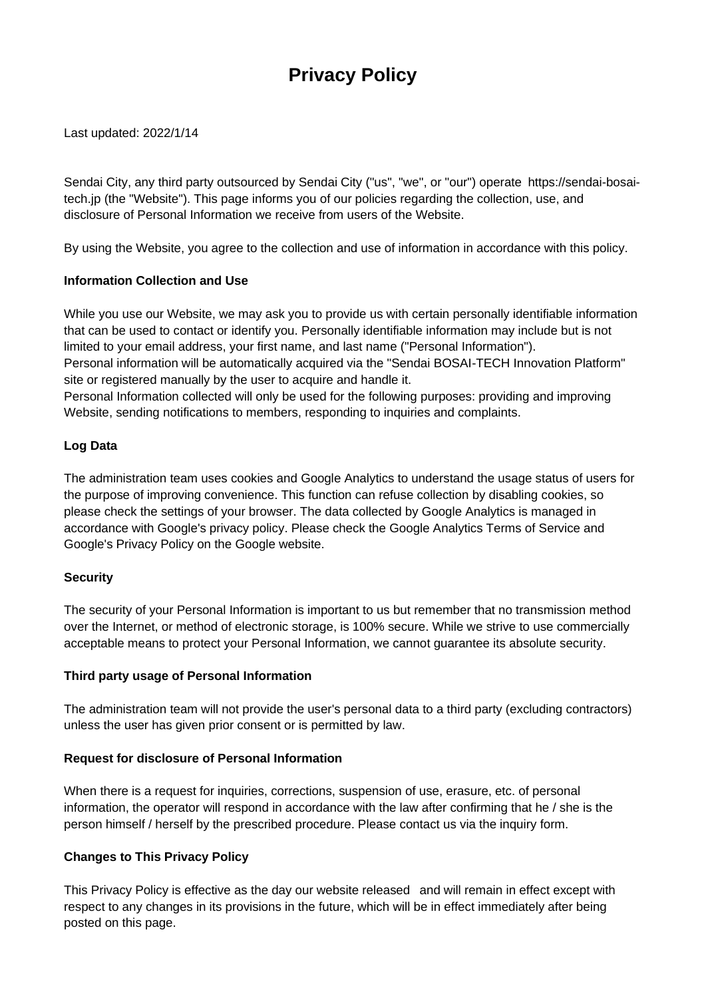# **Privacy Policy**

Last updated: 2022/1/14

Sendai City, any third party outsourced by Sendai City ("us", "we", or "our") operate https://sendai-bosaitech.jp (the "Website"). This page informs you of our policies regarding the collection, use, and disclosure of Personal Information we receive from users of the Website.

By using the Website, you agree to the collection and use of information in accordance with this policy.

## **Information Collection and Use**

While you use our Website, we may ask you to provide us with certain personally identifiable information that can be used to contact or identify you. Personally identifiable information may include but is not limited to your email address, your first name, and last name ("Personal Information"). Personal information will be automatically acquired via the "Sendai BOSAI-TECH Innovation Platform"

site or registered manually by the user to acquire and handle it. Personal Information collected will only be used for the following purposes: providing and improving Website, sending notifications to members, responding to inquiries and complaints.

## **Log Data**

The administration team uses cookies and Google Analytics to understand the usage status of users for the purpose of improving convenience. This function can refuse collection by disabling cookies, so please check the settings of your browser. The data collected by Google Analytics is managed in accordance with Google's privacy policy. Please check the Google Analytics Terms of Service and Google's Privacy Policy on the Google website.

#### **Security**

The security of your Personal Information is important to us but remember that no transmission method over the Internet, or method of electronic storage, is 100% secure. While we strive to use commercially acceptable means to protect your Personal Information, we cannot guarantee its absolute security.

#### **Third party usage of Personal Information**

The administration team will not provide the user's personal data to a third party (excluding contractors) unless the user has given prior consent or is permitted by law.

#### **Request for disclosure of Personal Information**

When there is a request for inquiries, corrections, suspension of use, erasure, etc. of personal information, the operator will respond in accordance with the law after confirming that he / she is the person himself / herself by the prescribed procedure. Please contact us via the inquiry form.

## **Changes to This Privacy Policy**

This Privacy Policy is effective as the day our website released and will remain in effect except with respect to any changes in its provisions in the future, which will be in effect immediately after being posted on this page.